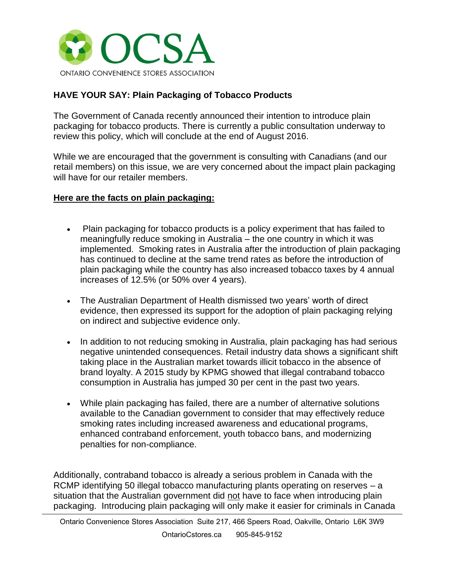

## **HAVE YOUR SAY: Plain Packaging of Tobacco Products**

The Government of Canada recently announced their intention to introduce plain packaging for tobacco products. There is currently a public consultation underway to review this policy, which will conclude at the end of August 2016.

While we are encouraged that the government is consulting with Canadians (and our retail members) on this issue, we are very concerned about the impact plain packaging will have for our retailer members.

## **Here are the facts on plain packaging:**

- Plain packaging for tobacco products is a policy experiment that has failed to meaningfully reduce smoking in Australia – the one country in which it was implemented. Smoking rates in Australia after the introduction of plain packaging has continued to decline at the same trend rates as before the introduction of plain packaging while the country has also increased tobacco taxes by 4 annual increases of 12.5% (or 50% over 4 years).
- The Australian Department of Health dismissed two years' worth of direct evidence, then expressed its support for the adoption of plain packaging relying on indirect and subjective evidence only.
- In addition to not reducing smoking in Australia, plain packaging has had serious negative unintended consequences. Retail industry data shows a significant shift taking place in the Australian market towards illicit tobacco in the absence of brand loyalty. A 2015 study by KPMG showed that illegal contraband tobacco consumption in Australia has jumped 30 per cent in the past two years.
- While plain packaging has failed, there are a number of alternative solutions available to the Canadian government to consider that may effectively reduce smoking rates including increased awareness and educational programs, enhanced contraband enforcement, youth tobacco bans, and modernizing penalties for non-compliance.

Additionally, contraband tobacco is already a serious problem in Canada with the RCMP identifying 50 illegal tobacco manufacturing plants operating on reserves – a situation that the Australian government did not have to face when introducing plain packaging. Introducing plain packaging will only make it easier for criminals in Canada

Ontario Convenience Stores Association Suite 217, 466 Speers Road, Oakville, Ontario L6K 3W9 OntarioCstores.ca 905-845-9152